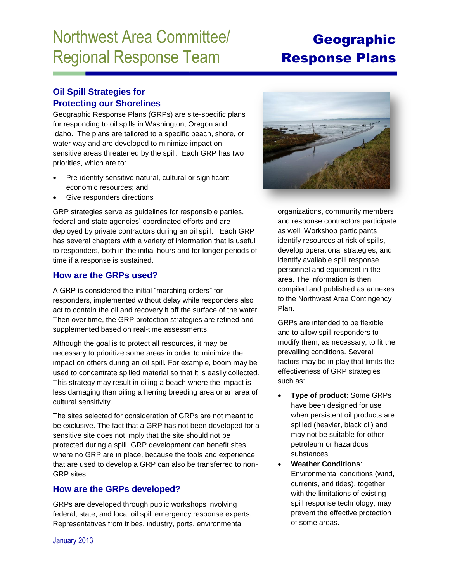# Northwest Area Committee/ Regional Response Team

# Geographic Response Plans

## **Oil Spill Strategies for Protecting our Shorelines**

Geographic Response Plans (GRPs) are site-specific plans for responding to oil spills in Washington, Oregon and Idaho. The plans are tailored to a specific beach, shore, or water way and are developed to minimize impact on sensitive areas threatened by the spill. Each GRP has two priorities, which are to:

- Pre-identify sensitive natural, cultural or significant economic resources; and
- Give responders directions

GRP strategies serve as guidelines for responsible parties, federal and state agencies' coordinated efforts and are deployed by private contractors during an oil spill. Each GRP has several chapters with a variety of information that is useful to responders, both in the initial hours and for longer periods of time if a response is sustained.

#### **How are the GRPs used?**

A GRP is considered the initial "marching orders" for responders, implemented without delay while responders also act to contain the oil and recovery it off the surface of the water. Then over time, the GRP protection strategies are refined and supplemented based on real-time assessments.

Although the goal is to protect all resources, it may be necessary to prioritize some areas in order to minimize the impact on others during an oil spill. For example, boom may be used to concentrate spilled material so that it is easily collected. This strategy may result in oiling a beach where the impact is less damaging than oiling a herring breeding area or an area of cultural sensitivity.

The sites selected for consideration of GRPs are not meant to be exclusive. The fact that a GRP has not been developed for a sensitive site does not imply that the site should not be protected during a spill. GRP development can benefit sites where no GRP are in place, because the tools and experience that are used to develop a GRP can also be transferred to non-GRP sites.

## **How are the GRPs developed?**

GRPs are developed through public workshops involving federal, state, and local oil spill emergency response experts. Representatives from tribes, industry, ports, environmental



organizations, community members and response contractors participate as well. Workshop participants identify resources at risk of spills, develop operational strategies, and identify available spill response personnel and equipment in the area. The information is then compiled and published as annexes to the Northwest Area Contingency Plan.

GRPs are intended to be flexible and to allow spill responders to modify them, as necessary, to fit the prevailing conditions. Several factors may be in play that limits the effectiveness of GRP strategies such as:

- **Type of product**: Some GRPs have been designed for use when persistent oil products are spilled (heavier, black oil) and may not be suitable for other petroleum or hazardous substances.
- **Weather Conditions**: Environmental conditions (wind, currents, and tides), together with the limitations of existing spill response technology, may prevent the effective protection of some areas.